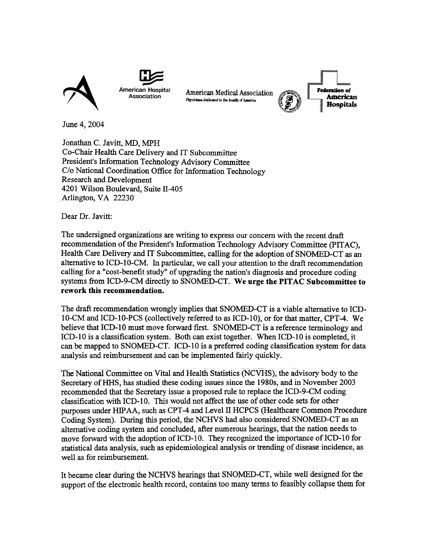

Physicians dedicated to the health of America American Medical Association



**Federation** of **American Hospitals** 

June 4, 2004

Jonathan C. Javitt, MD, MPH Co-Chair Health Care Delivery and IT Subcommittee President's Information Technology Advisory Committee C/o National Coordination Office for Information Technology Research and Development 4201 Wilson Boulevard, Suite ll-405 Arlington, VA 22230

Dear Dr. Javitt:

The undersigned organizations are writing to express our concern with the recent draft recommendation of the President's Information Technology Advisory Committee (pITAC), Health Care Delivery and IT Subcommittee, calling for the adoption of SNOMED-CT as an alternative to ICD-IO-CM. In particular, we call your attention to the draft recommendation calling for a "cost-benefit study" of upgrading the nation's diagnosis and procedure coding systems from ICD-9-CM directly to SNOMED-CT. We urge the PITAC Subcommittee to rework this recommendation.

The draft recommendation wrongly implies that SNOMED-CT is a viable alternative to ICD-10-CM and ICD-IO-PCS (collectively referred to as ICD-IO), or for that matter, CPT -4. We believe that ICD-10 must move forward first. SNOMED-CT is a reference terminology and ICD-10 is a classification system. Both can exist together. When ICD-10 is completed, it can be mapped to SNOMED-CT. ICD-IO is a preferred coding classification system for data analysis and reimbursement and can be implemented fairly quickly.

The National Committee on Vital and Health Statistics (NCVHS), the advisory body to the Secretary ofHHS, has studied these coding issues since the 1980s, and in November 2003 recommended that the Secretary issue a proposed rule to replace the ICD-9-CM coding classification with ICD-10. This would not affect the use of other code sets for other purposes under HIPAA, such as CPT-4 and Level II HCPCS (Healthcare Common Procedure Coding System). During this period, the NCHVS had also considered SNOMED-CT as an alternative coding system and concluded, after numerous hearings, that the nation needs to move forward with the adoption of ICD-10. They recognized the importance of ICD-10 for statistical data analysis, such as epidemiological analysis or trending of disease incidence, as well as for reimbursement.

It became clear during the NCHVS hearings that SNOMED-CT, while well designed for the support of the electronic health record, contains too many terms to feasibly collapse them for